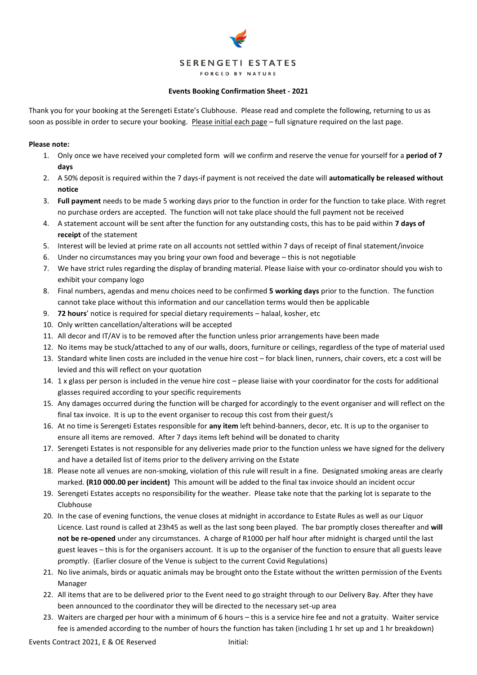# **SERENGETI ESTATES** FORGED BY NATURE

### **Events Booking Confirmation Sheet - 2021**

Thank you for your booking at the Serengeti Estate's Clubhouse. Please read and complete the following, returning to us as soon as possible in order to secure your booking. Please initial each page – full signature required on the last page.

### **Please note:**

- 1. Only once we have received your completed form will we confirm and reserve the venue for yourself for a **period of 7 days**
- 2. A 50% deposit is required within the 7 days-if payment is not received the date will **automatically be released without notice**
- 3. **Full payment** needs to be made 5 working days prior to the function in order for the function to take place. With regret no purchase orders are accepted. The function will not take place should the full payment not be received
- 4. A statement account will be sent after the function for any outstanding costs, this has to be paid within **7 days of receipt** of the statement
- 5. Interest will be levied at prime rate on all accounts not settled within 7 days of receipt of final statement/invoice
- 6. Under no circumstances may you bring your own food and beverage this is not negotiable
- 7. We have strict rules regarding the display of branding material. Please liaise with your co-ordinator should you wish to exhibit your company logo
- 8. Final numbers, agendas and menu choices need to be confirmed **5 working days** prior to the function. The function cannot take place without this information and our cancellation terms would then be applicable
- 9. **72 hours**' notice is required for special dietary requirements halaal, kosher, etc
- 10. Only written cancellation/alterations will be accepted
- 11. All decor and IT/AV is to be removed after the function unless prior arrangements have been made
- 12. No items may be stuck/attached to any of our walls, doors, furniture or ceilings, regardless of the type of material used
- 13. Standard white linen costs are included in the venue hire cost for black linen, runners, chair covers, etc a cost will be levied and this will reflect on your quotation
- 14. 1 x glass per person is included in the venue hire cost please liaise with your coordinator for the costs for additional glasses required according to your specific requirements
- 15. Any damages occurred during the function will be charged for accordingly to the event organiser and will reflect on the final tax invoice. It is up to the event organiser to recoup this cost from their guest/s
- 16. At no time is Serengeti Estates responsible for **any item** left behind-banners, decor, etc. It is up to the organiser to ensure all items are removed. After 7 days items left behind will be donated to charity
- 17. Serengeti Estates is not responsible for any deliveries made prior to the function unless we have signed for the delivery and have a detailed list of items prior to the delivery arriving on the Estate
- 18. Please note all venues are non-smoking, violation of this rule will result in a fine. Designated smoking areas are clearly marked. **(R10 000.00 per incident)** This amount will be added to the final tax invoice should an incident occur
- 19. Serengeti Estates accepts no responsibility for the weather. Please take note that the parking lot is separate to the Clubhouse
- 20. In the case of evening functions, the venue closes at midnight in accordance to Estate Rules as well as our Liquor Licence. Last round is called at 23h45 as well as the last song been played. The bar promptly closes thereafter and **will not be re-opened** under any circumstances. A charge of R1000 per half hour after midnight is charged until the last guest leaves – this is for the organisers account. It is up to the organiser of the function to ensure that all guests leave promptly. (Earlier closure of the Venue is subject to the current Covid Regulations)
- 21. No live animals, birds or aquatic animals may be brought onto the Estate without the written permission of the Events Manager
- 22. All items that are to be delivered prior to the Event need to go straight through to our Delivery Bay. After they have been announced to the coordinator they will be directed to the necessary set-up area
- 23. Waiters are charged per hour with a minimum of 6 hours this is a service hire fee and not a gratuity. Waiter service fee is amended according to the number of hours the function has taken (including 1 hr set up and 1 hr breakdown)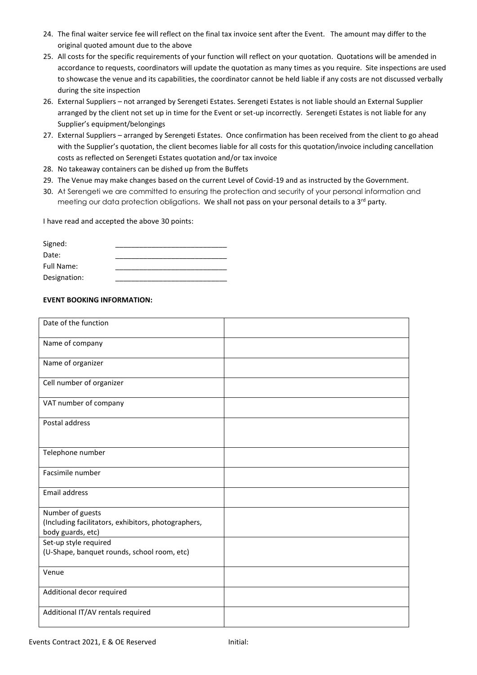- 24. The final waiter service fee will reflect on the final tax invoice sent after the Event. The amount may differ to the original quoted amount due to the above
- 25. All costs for the specific requirements of your function will reflect on your quotation. Quotations will be amended in accordance to requests, coordinators will update the quotation as many times as you require. Site inspections are used to showcase the venue and its capabilities, the coordinator cannot be held liable if any costs are not discussed verbally during the site inspection
- 26. External Suppliers not arranged by Serengeti Estates. Serengeti Estates is not liable should an External Supplier arranged by the client not set up in time for the Event or set-up incorrectly. Serengeti Estates is not liable for any Supplier's equipment/belongings
- 27. External Suppliers arranged by Serengeti Estates. Once confirmation has been received from the client to go ahead with the Supplier's quotation, the client becomes liable for all costs for this quotation/invoice including cancellation costs as reflected on Serengeti Estates quotation and/or tax invoice
- 28. No takeaway containers can be dished up from the Buffets
- 29. The Venue may make changes based on the current Level of Covid-19 and as instructed by the Government.
- 30. At Serengeti we are committed to ensuring the protection and security of your personal information and meeting our data protection obligations. We shall not pass on your personal details to a 3<sup>rd</sup> party.

I have read and accepted the above 30 points:

| Signed:      |  |
|--------------|--|
| Date:        |  |
| Full Name:   |  |
| Designation: |  |

# **EVENT BOOKING INFORMATION:**

| Date of the function                                |  |
|-----------------------------------------------------|--|
| Name of company                                     |  |
| Name of organizer                                   |  |
| Cell number of organizer                            |  |
| VAT number of company                               |  |
| Postal address                                      |  |
| Telephone number                                    |  |
| Facsimile number                                    |  |
| <b>Email address</b>                                |  |
| Number of guests                                    |  |
| (Including facilitators, exhibitors, photographers, |  |
| body guards, etc)                                   |  |
| Set-up style required                               |  |
| (U-Shape, banquet rounds, school room, etc)         |  |
| Venue                                               |  |
| Additional decor required                           |  |
| Additional IT/AV rentals required                   |  |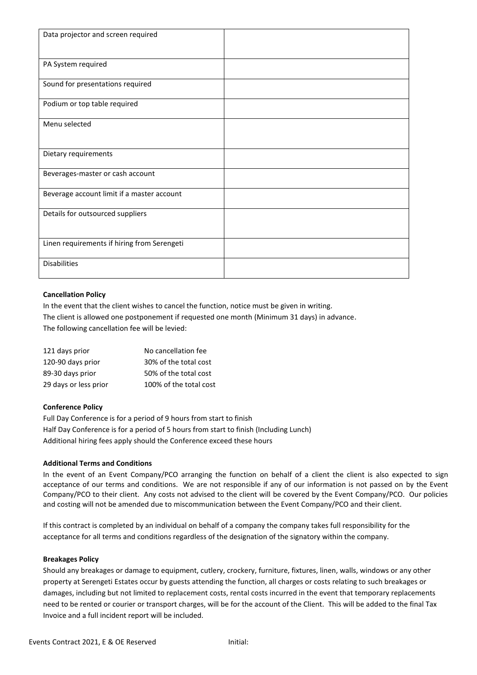| Data projector and screen required          |  |
|---------------------------------------------|--|
|                                             |  |
| PA System required                          |  |
|                                             |  |
| Sound for presentations required            |  |
| Podium or top table required                |  |
| Menu selected                               |  |
|                                             |  |
| Dietary requirements                        |  |
| Beverages-master or cash account            |  |
| Beverage account limit if a master account  |  |
| Details for outsourced suppliers            |  |
|                                             |  |
| Linen requirements if hiring from Serengeti |  |
| <b>Disabilities</b>                         |  |
|                                             |  |

## **Cancellation Policy**

In the event that the client wishes to cancel the function, notice must be given in writing. The client is allowed one postponement if requested one month (Minimum 31 days) in advance. The following cancellation fee will be levied:

| 121 days prior        | No cancellation fee    |
|-----------------------|------------------------|
| 120-90 days prior     | 30% of the total cost  |
| 89-30 days prior      | 50% of the total cost  |
| 29 days or less prior | 100% of the total cost |

# **Conference Policy**

Full Day Conference is for a period of 9 hours from start to finish Half Day Conference is for a period of 5 hours from start to finish (Including Lunch) Additional hiring fees apply should the Conference exceed these hours

## **Additional Terms and Conditions**

In the event of an Event Company/PCO arranging the function on behalf of a client the client is also expected to sign acceptance of our terms and conditions. We are not responsible if any of our information is not passed on by the Event Company/PCO to their client. Any costs not advised to the client will be covered by the Event Company/PCO. Our policies and costing will not be amended due to miscommunication between the Event Company/PCO and their client.

If this contract is completed by an individual on behalf of a company the company takes full responsibility for the acceptance for all terms and conditions regardless of the designation of the signatory within the company.

## **Breakages Policy**

Should any breakages or damage to equipment, cutlery, crockery, furniture, fixtures, linen, walls, windows or any other property at Serengeti Estates occur by guests attending the function, all charges or costs relating to such breakages or damages, including but not limited to replacement costs, rental costs incurred in the event that temporary replacements need to be rented or courier or transport charges, will be for the account of the Client. This will be added to the final Tax Invoice and a full incident report will be included.